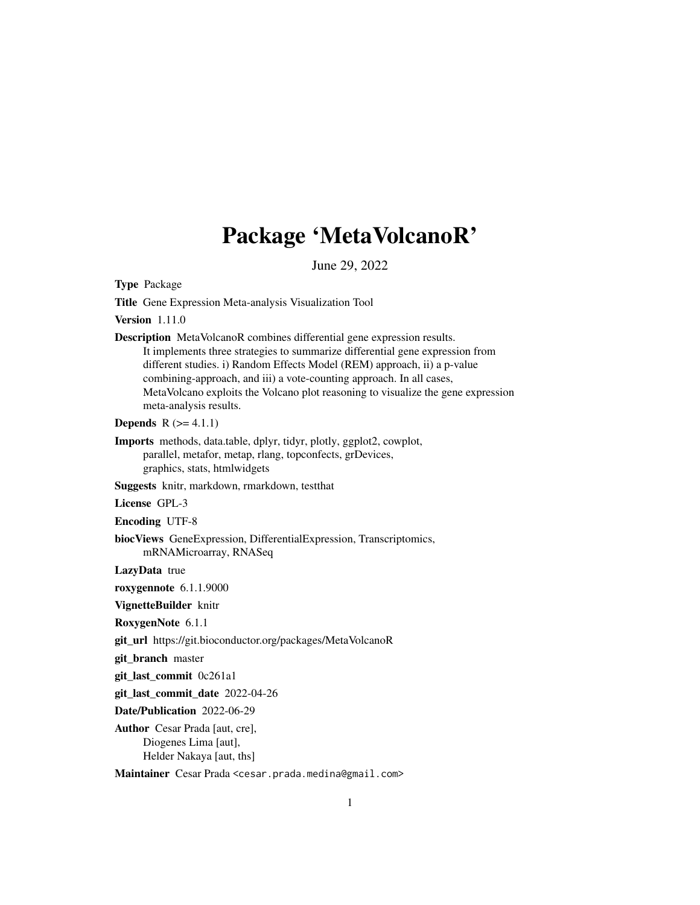# Package 'MetaVolcanoR'

June 29, 2022

Type Package

Title Gene Expression Meta-analysis Visualization Tool

Version 1.11.0

Description MetaVolcanoR combines differential gene expression results. It implements three strategies to summarize differential gene expression from different studies. i) Random Effects Model (REM) approach, ii) a p-value combining-approach, and iii) a vote-counting approach. In all cases, MetaVolcano exploits the Volcano plot reasoning to visualize the gene expression meta-analysis results.

**Depends**  $R (= 4.1.1)$ 

Imports methods, data.table, dplyr, tidyr, plotly, ggplot2, cowplot, parallel, metafor, metap, rlang, topconfects, grDevices, graphics, stats, htmlwidgets

Suggests knitr, markdown, rmarkdown, testthat

License GPL-3

Encoding UTF-8

biocViews GeneExpression, DifferentialExpression, Transcriptomics, mRNAMicroarray, RNASeq

LazyData true

roxygennote 6.1.1.9000

VignetteBuilder knitr

RoxygenNote 6.1.1

git\_url https://git.bioconductor.org/packages/MetaVolcanoR

git\_branch master

git\_last\_commit 0c261a1

git\_last\_commit\_date 2022-04-26

Date/Publication 2022-06-29

Author Cesar Prada [aut, cre], Diogenes Lima [aut], Helder Nakaya [aut, ths]

Maintainer Cesar Prada <cesar.prada.medina@gmail.com>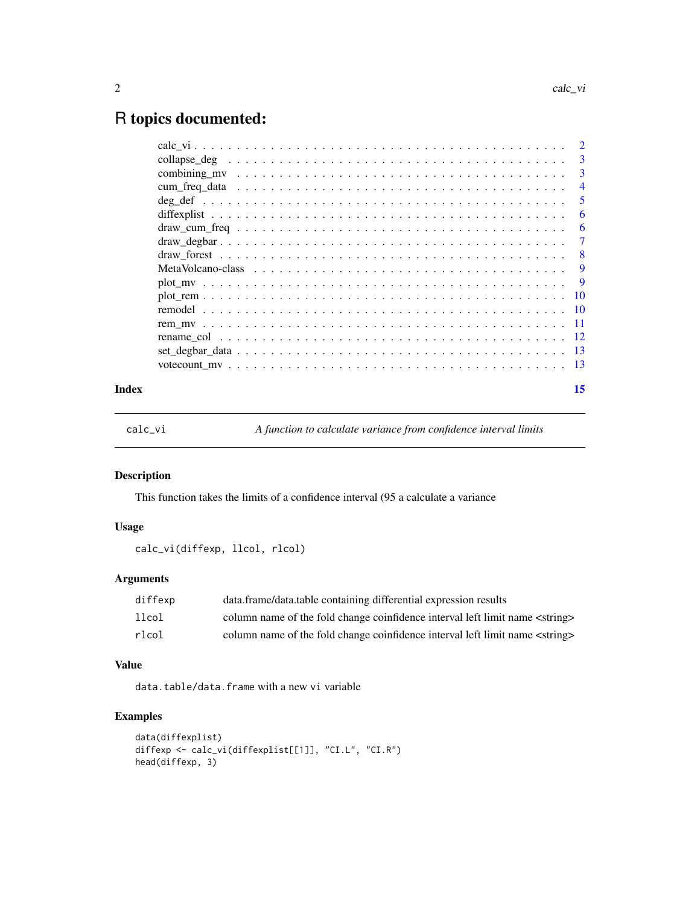# <span id="page-1-0"></span>R topics documented:

|       | -3             |
|-------|----------------|
|       | $\overline{4}$ |
|       | 5              |
|       | 6              |
|       | -6             |
|       |                |
|       |                |
|       |                |
|       |                |
|       |                |
|       |                |
|       |                |
|       |                |
|       |                |
|       |                |
| Index | 15             |

calc\_vi *A function to calculate variance from confidence interval limits*

#### Description

This function takes the limits of a confidence interval (95 a calculate a variance

#### Usage

calc\_vi(diffexp, llcol, rlcol)

# Arguments

| diffexp | data.frame/data.table containing differential expression results                      |
|---------|---------------------------------------------------------------------------------------|
| llcol   | column name of the fold change coinfidence interval left limit name <string></string> |
| rlcol   | column name of the fold change coinfidence interval left limit name <string></string> |

#### Value

data.table/data.frame with a new vi variable

```
data(diffexplist)
diffexp <- calc_vi(diffexplist[[1]], "CI.L", "CI.R")
head(diffexp, 3)
```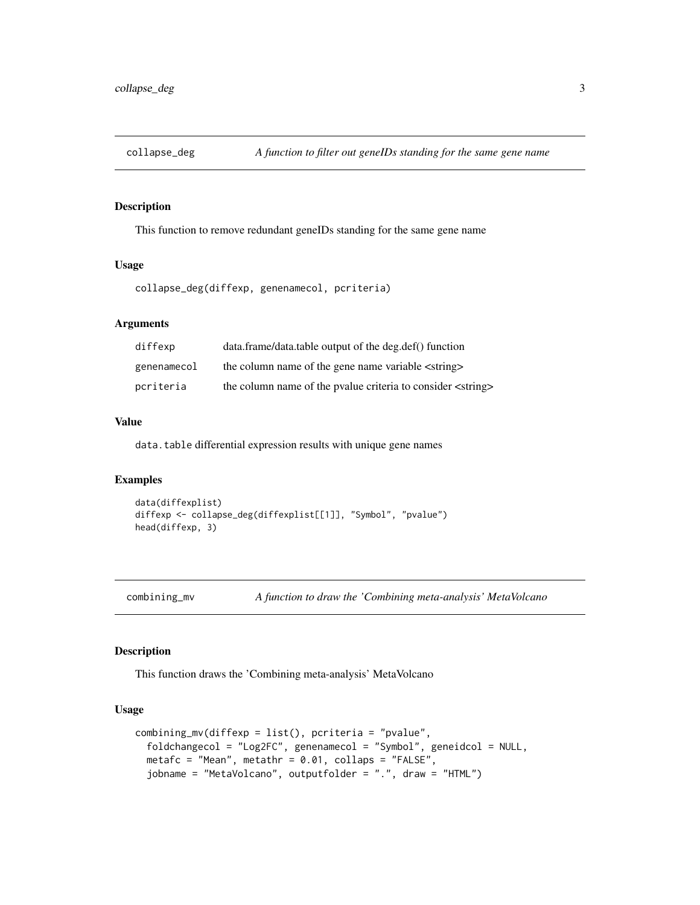<span id="page-2-0"></span>

This function to remove redundant geneIDs standing for the same gene name

#### Usage

```
collapse_deg(diffexp, genenamecol, pcriteria)
```
#### Arguments

| diffexp     | data.frame/data.table output of the deg.def() function               |
|-------------|----------------------------------------------------------------------|
| genenamecol | the column name of the gene name variable <string></string>          |
| pcriteria   | the column name of the pvalue criteria to consider <string></string> |

## Value

data.table differential expression results with unique gene names

#### Examples

```
data(diffexplist)
diffexp <- collapse_deg(diffexplist[[1]], "Symbol", "pvalue")
head(diffexp, 3)
```
combining\_mv *A function to draw the 'Combining meta-analysis' MetaVolcano*

#### Description

This function draws the 'Combining meta-analysis' MetaVolcano

#### Usage

```
combining_mv(diffexp = list(), pcriteria = "pvalue",
  foldchangecol = "Log2FC", genenamecol = "Symbol", geneidcol = NULL,
 metafc = "Mean", metathr = 0.01, collaps = "FALSE",
  jobname = "MetaVolcano", outputfolder = ".", draw = "HTML")
```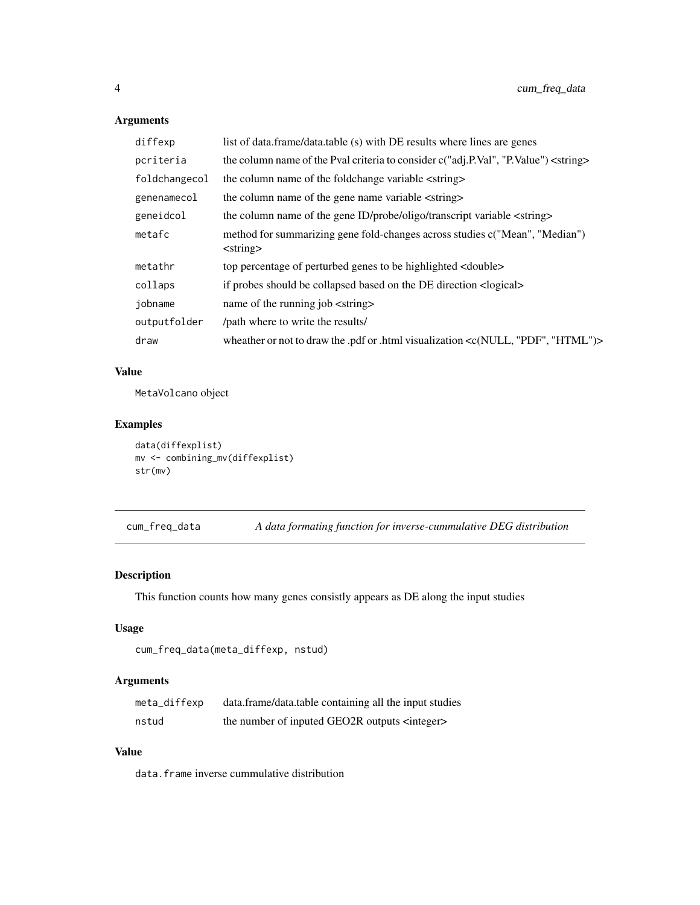# Arguments

| diffexp       | list of data.frame/data.table (s) with DE results where lines are genes                       |
|---------------|-----------------------------------------------------------------------------------------------|
| pcriteria     | the column name of the Pval criteria to consider c("adj.P.Val", "P.Value") <string></string>  |
| foldchangecol | the column name of the foldchange variable <string></string>                                  |
| genenamecol   | the column name of the gene name variable <string></string>                                   |
| geneidcol     | the column name of the gene ID/probe/oligo/transcript variable <string></string>              |
| metafc        | method for summarizing gene fold-changes across studies c("Mean", "Median")<br>$<$ string $>$ |
| metathr       | top percentage of perturbed genes to be highlighted <double></double>                         |
| collaps       | if probes should be collapsed based on the DE direction <alogical></alogical>                 |
| jobname       | name of the running job <string></string>                                                     |
| outputfolder  | /path where to write the results/                                                             |
| draw          | wheather or not to draw the .pdf or .html visualization < $c(NULL, "PDF", "HTML")$ >          |

# Value

MetaVolcano object

#### Examples

```
data(diffexplist)
mv <- combining_mv(diffexplist)
str(mv)
```
cum\_freq\_data *A data formating function for inverse-cummulative DEG distribution*

#### Description

This function counts how many genes consistly appears as DE along the input studies

### Usage

```
cum_freq_data(meta_diffexp, nstud)
```
#### Arguments

| meta_diffexp | data.frame/data.table containing all the input studies  |
|--------------|---------------------------------------------------------|
| nstud        | the number of inputed GEO2R outputs <integer></integer> |

#### Value

data.frame inverse cummulative distribution

<span id="page-3-0"></span>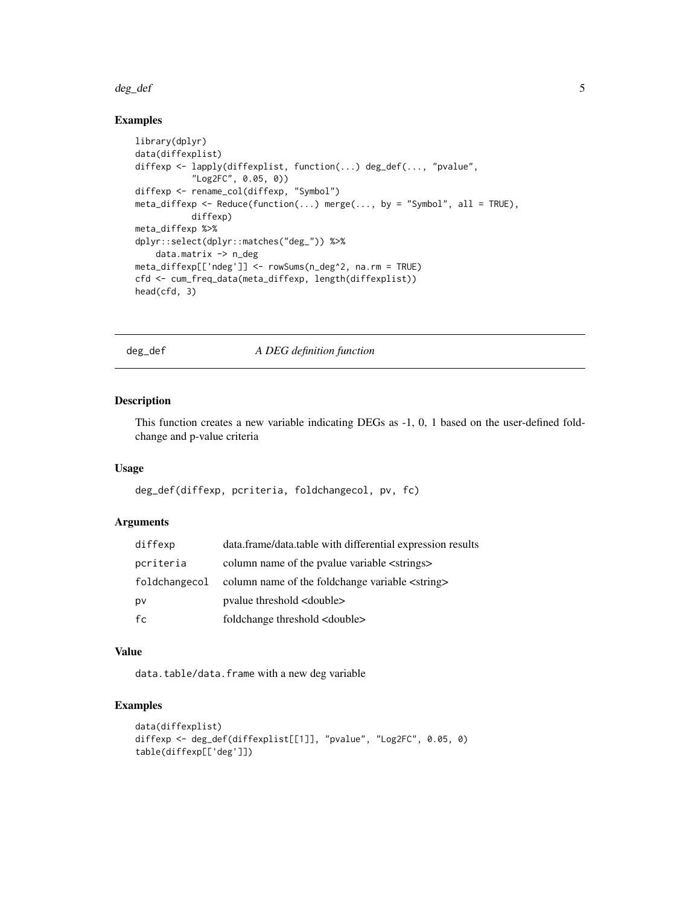#### <span id="page-4-0"></span>deg\_def 5

#### Examples

```
library(dplyr)
data(diffexplist)
diffexp <- lapply(diffexplist, function(...) deg_def(..., "pvalue",
           "Log2FC", 0.05, 0))
diffexp <- rename_col(diffexp, "Symbol")
meta_diffexp <- Reduce(function(...) merge(..., by = "Symbol", all = TRUE),
           diffexp)
meta_diffexp %>%
dplyr::select(dplyr::matches("deg_")) %>%
   data.matrix -> n_deg
meta_diffexp[['ndeg']] <- rowSums(n_deg^2, na.rm = TRUE)
cfd <- cum_freq_data(meta_diffexp, length(diffexplist))
head(cfd, 3)
```
deg\_def *A DEG definition function*

#### Description

This function creates a new variable indicating DEGs as -1, 0, 1 based on the user-defined foldchange and p-value criteria

#### Usage

deg\_def(diffexp, pcriteria, foldchangecol, pv, fc)

#### Arguments

| diffexp       | data.frame/data.table with differential expression results |
|---------------|------------------------------------------------------------|
| pcriteria     | column name of the pyalue variable <strings></strings>     |
| foldchangecol | column name of the foldchange variable <string></string>   |
| pv            | pyalue threshold <double></double>                         |
| fc            | foldchange threshold <double></double>                     |

#### Value

data.table/data.frame with a new deg variable

```
data(diffexplist)
diffexp <- deg_def(diffexplist[[1]], "pvalue", "Log2FC", 0.05, 0)
table(diffexp[['deg']])
```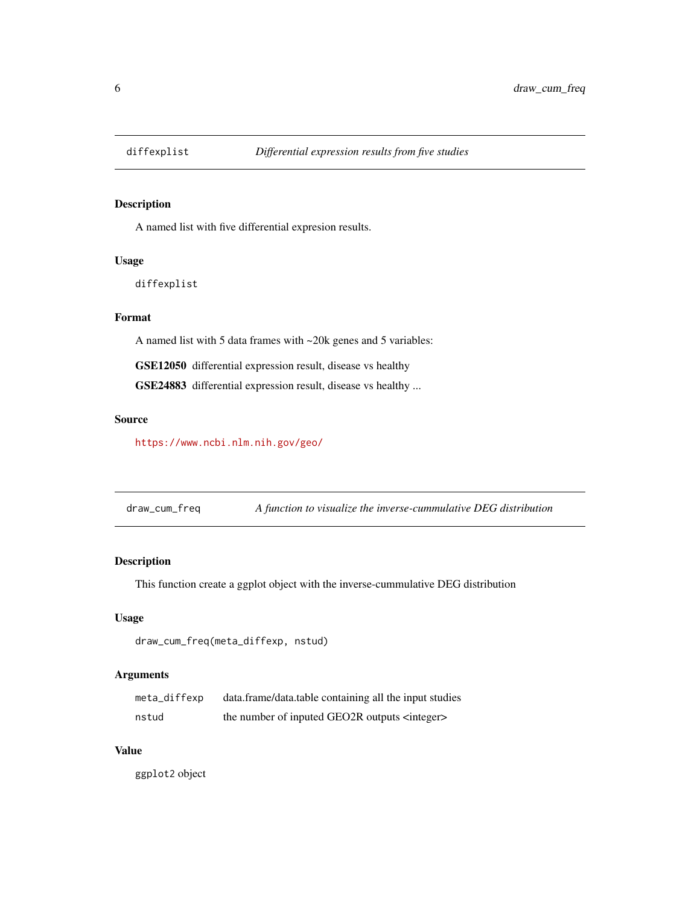<span id="page-5-0"></span>

A named list with five differential expresion results.

#### Usage

diffexplist

#### Format

A named list with 5 data frames with ~20k genes and 5 variables:

GSE12050 differential expression result, disease vs healthy

GSE24883 differential expression result, disease vs healthy ...

#### Source

<https://www.ncbi.nlm.nih.gov/geo/>

draw\_cum\_freq *A function to visualize the inverse-cummulative DEG distribution*

#### Description

This function create a ggplot object with the inverse-cummulative DEG distribution

#### Usage

draw\_cum\_freq(meta\_diffexp, nstud)

#### Arguments

| meta_diffexp | data.frame/data.table containing all the input studies  |
|--------------|---------------------------------------------------------|
| nstud        | the number of inputed GEO2R outputs <integer></integer> |

#### Value

ggplot2 object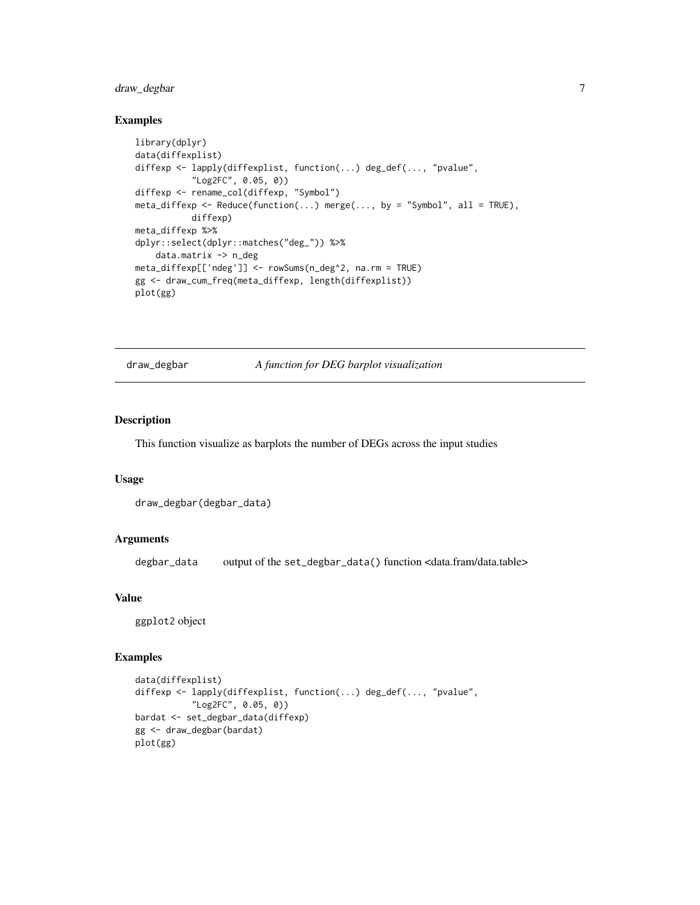#### <span id="page-6-0"></span>draw\_degbar 7

#### Examples

```
library(dplyr)
data(diffexplist)
diffexp <- lapply(diffexplist, function(...) deg_def(..., "pvalue",
           "Log2FC", 0.05, 0))
diffexp <- rename_col(diffexp, "Symbol")
meta\_diffexp \leftarrow Reduce(function(...) merge(..., by = "Symbol", all = TRUE),diffexp)
meta_diffexp %>%
dplyr::select(dplyr::matches("deg_")) %>%
    data.matrix -> n_deg
meta_diffexp[['ndeg']] <- rowSums(n_deg^2, na.rm = TRUE)
gg <- draw_cum_freq(meta_diffexp, length(diffexplist))
plot(gg)
```
draw\_degbar *A function for DEG barplot visualization*

#### Description

This function visualize as barplots the number of DEGs across the input studies

#### Usage

```
draw_degbar(degbar_data)
```
#### Arguments

degbar\_data output of the set\_degbar\_data() function <data.fram/data.table>

#### Value

ggplot2 object

```
data(diffexplist)
diffexp <- lapply(diffexplist, function(...) deg_def(..., "pvalue",
           "Log2FC", 0.05, 0))
bardat <- set_degbar_data(diffexp)
gg <- draw_degbar(bardat)
plot(gg)
```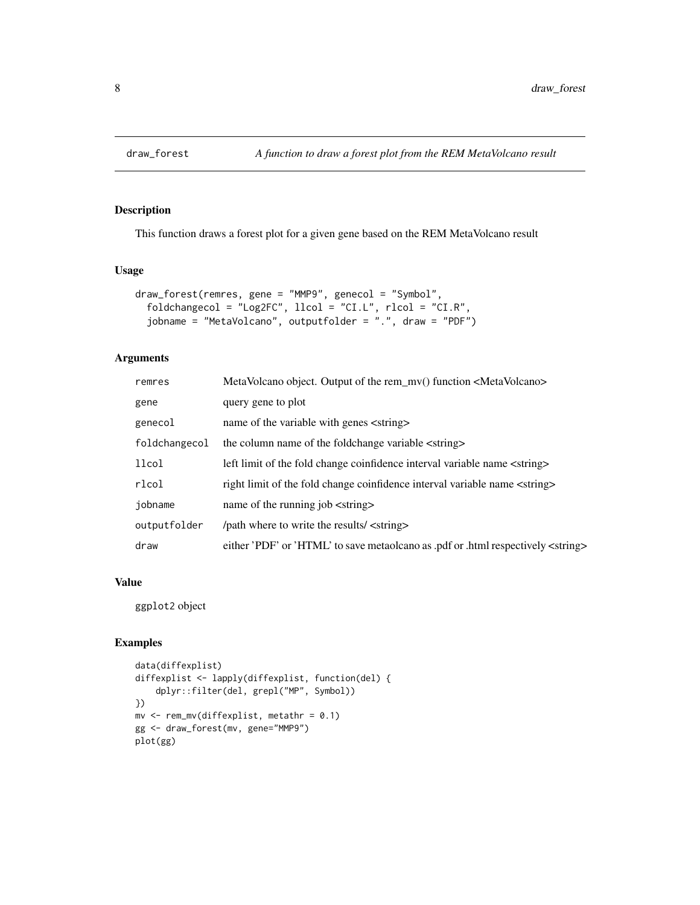<span id="page-7-0"></span>

This function draws a forest plot for a given gene based on the REM MetaVolcano result

#### Usage

```
draw_forest(remres, gene = "MMP9", genecol = "Symbol",
 foldchangecol = "Log2FC", llcol = "CI.L", rlcol = "CI.R",
  jobname = "MetaVolcano", outputfolder = ".", draw = "PDF")
```
#### Arguments

| remres        | MetaVolcano object. Output of the rem_mv() function <metavolcano></metavolcano>           |
|---------------|-------------------------------------------------------------------------------------------|
| gene          | query gene to plot                                                                        |
| genecol       | name of the variable with genes <string></string>                                         |
| foldchangecol | the column name of the foldchange variable <string></string>                              |
| llcol         | left limit of the fold change coinfidence interval variable name <string></string>        |
| rlcol         | right limit of the fold change coinfidence interval variable name <string></string>       |
| jobname       | name of the running job <string></string>                                                 |
| outputfolder  | /path where to write the results/ <string></string>                                       |
| draw          | either 'PDF' or 'HTML' to save metaolcano as .pdf or .html respectively <string></string> |

#### Value

ggplot2 object

```
data(diffexplist)
diffexplist <- lapply(diffexplist, function(del) {
    dplyr::filter(del, grepl("MP", Symbol))
})
mv <- rem_mv(diffexplist, metathr = 0.1)
gg <- draw_forest(mv, gene="MMP9")
plot(gg)
```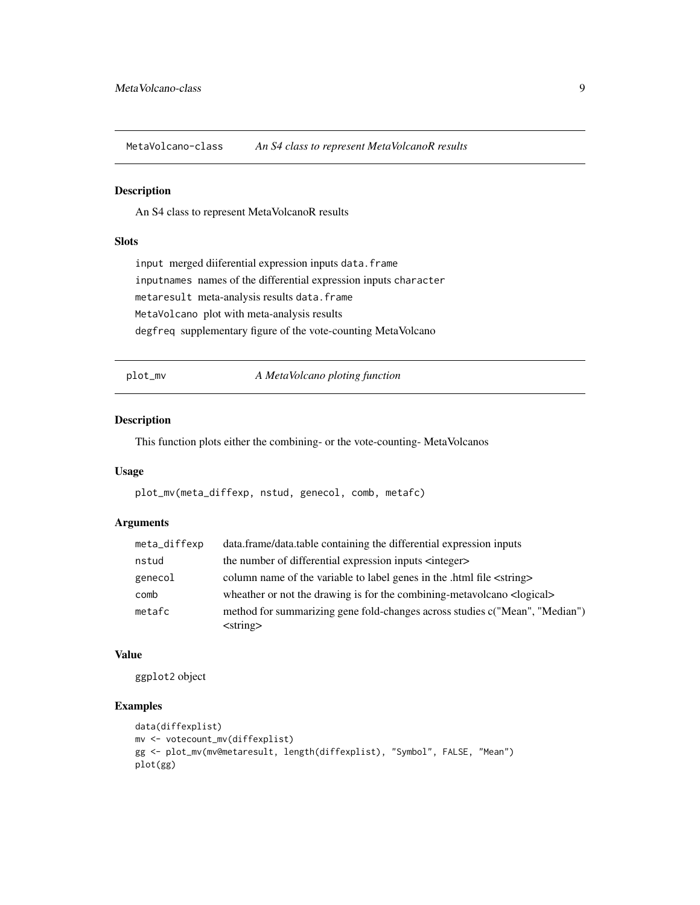<span id="page-8-0"></span>MetaVolcano-class *An S4 class to represent MetaVolcanoR results*

#### Description

An S4 class to represent MetaVolcanoR results

#### **Slots**

input merged diiferential expression inputs data.frame inputnames names of the differential expression inputs character metaresult meta-analysis results data.frame MetaVolcano plot with meta-analysis results degfreq supplementary figure of the vote-counting MetaVolcano

plot\_mv *A MetaVolcano ploting function*

#### Description

This function plots either the combining- or the vote-counting- MetaVolcanos

#### Usage

plot\_mv(meta\_diffexp, nstud, genecol, comb, metafc)

#### Arguments

| meta_diffexp | data.frame/data.table containing the differential expression inputs                                       |
|--------------|-----------------------------------------------------------------------------------------------------------|
| nstud        | the number of differential expression inputs $\langle$ integer $\rangle$                                  |
| genecol      | column name of the variable to label genes in the .html file <string></string>                            |
| comb         | wheather or not the drawing is for the combining-metavolcano <logical></logical>                          |
| metafc       | method for summarizing gene fold-changes across studies c("Mean", "Median")<br>$\langle$ string $\rangle$ |

#### Value

ggplot2 object

```
data(diffexplist)
mv <- votecount_mv(diffexplist)
gg <- plot_mv(mv@metaresult, length(diffexplist), "Symbol", FALSE, "Mean")
plot(gg)
```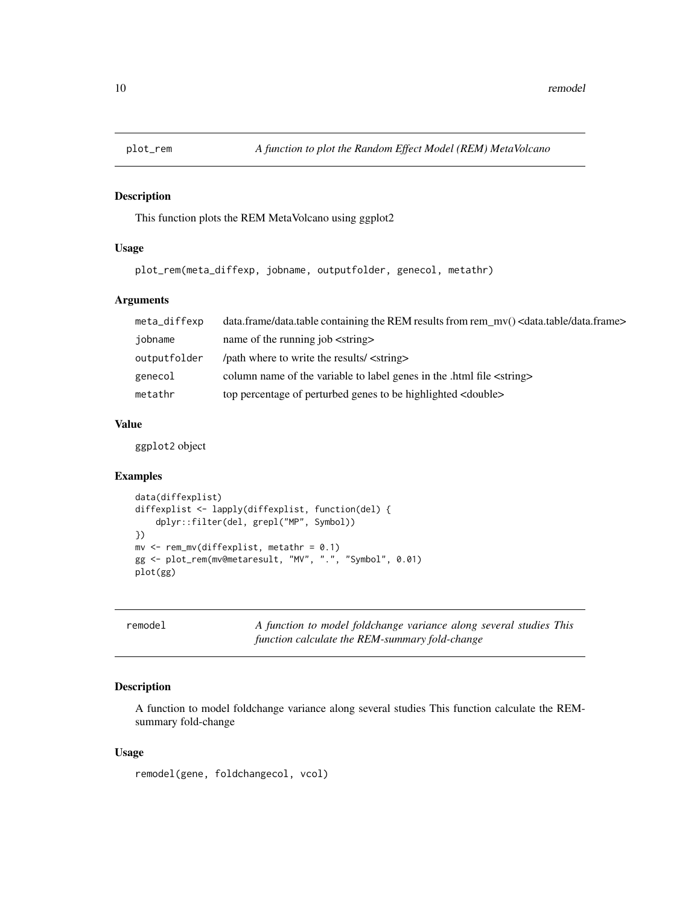<span id="page-9-0"></span>

This function plots the REM MetaVolcano using ggplot2

#### Usage

plot\_rem(meta\_diffexp, jobname, outputfolder, genecol, metathr)

#### Arguments

| meta_diffexp | data.frame/data.table containing the REM results from rem_mv() <data.table data.frame=""></data.table> |
|--------------|--------------------------------------------------------------------------------------------------------|
| iobname      | name of the running job <string></string>                                                              |
| outputfolder | /path where to write the results/ <string></string>                                                    |
| genecol      | column name of the variable to label genes in the .html file <string></string>                         |
| metathr      | top percentage of perturbed genes to be highlighted <double></double>                                  |

#### Value

ggplot2 object

#### Examples

```
data(diffexplist)
diffexplist <- lapply(diffexplist, function(del) {
    dplyr::filter(del, grepl("MP", Symbol))
})
mv <- rem_mv(diffexplist, metathr = 0.1)
gg <- plot_rem(mv@metaresult, "MV", ".", "Symbol", 0.01)
plot(gg)
```
remodel *A function to model foldchange variance along several studies This function calculate the REM-summary fold-change*

#### Description

A function to model foldchange variance along several studies This function calculate the REMsummary fold-change

#### Usage

remodel(gene, foldchangecol, vcol)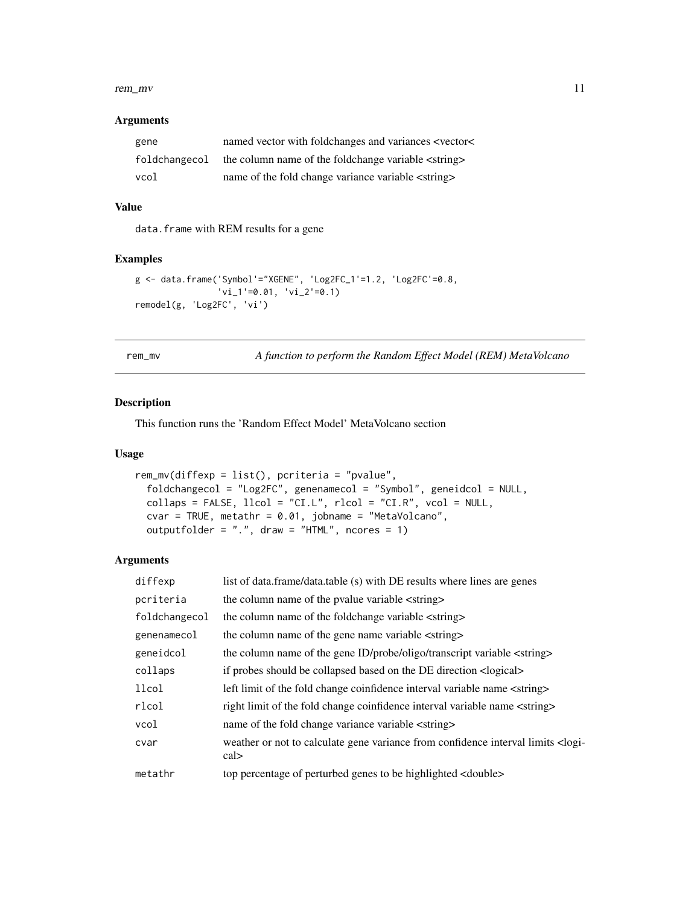#### <span id="page-10-0"></span>rem\_mv d 11

#### Arguments

| gene          | named vector with foldchanges and variances <vector<< th=""></vector<<> |
|---------------|-------------------------------------------------------------------------|
| foldchangecol | the column name of the foldchange variable <string></string>            |
| vcol          | name of the fold change variance variable <string></string>             |

# Value

data.frame with REM results for a gene

#### Examples

```
g <- data.frame('Symbol'="XGENE", 'Log2FC_1'=1.2, 'Log2FC'=0.8,
                'vi_1' = 0.01, 'vi_2' = 0.1remodel(g, 'Log2FC', 'vi')
```
rem\_mv *A function to perform the Random Effect Model (REM) MetaVolcano*

#### Description

This function runs the 'Random Effect Model' MetaVolcano section

#### Usage

```
rem_mv(diffexp = list(), pcriteria = "pvalue",
 foldchangecol = "Log2FC", genenamecol = "Symbol", geneidcol = NULL,
 collaps = FALSE, llcol = "CI.L", rlcol = "CI.R", vcol = NULL,
 cvar = TRUE, metathr = 0.01, jobname = "MetaVolcano",
 outputfolder = ".", draw = "HTML", ncores = 1)
```
#### Arguments

| diffexp       | list of data.frame/data.table (s) with DE results where lines are genes                                |
|---------------|--------------------------------------------------------------------------------------------------------|
| pcriteria     | the column name of the pvalue variable <string></string>                                               |
| foldchangecol | the column name of the foldchange variable <string></string>                                           |
| genenamecol   | the column name of the gene name variable <string></string>                                            |
| geneidcol     | the column name of the gene ID/probe/oligo/transcript variable <string></string>                       |
| collaps       | if probes should be collapsed based on the DE direction <alogical></alogical>                          |
| llcol         | left limit of the fold change coinfidence interval variable name <string></string>                     |
| rlcol         | right limit of the fold change coinfidence interval variable name <string></string>                    |
| vcol          | name of the fold change variance variable <string></string>                                            |
| cvar          | weather or not to calculate gene variance from confidence interval limits <logi-<br>cal&gt;</logi-<br> |
| metathr       | top percentage of perturbed genes to be highlighted <double></double>                                  |
|               |                                                                                                        |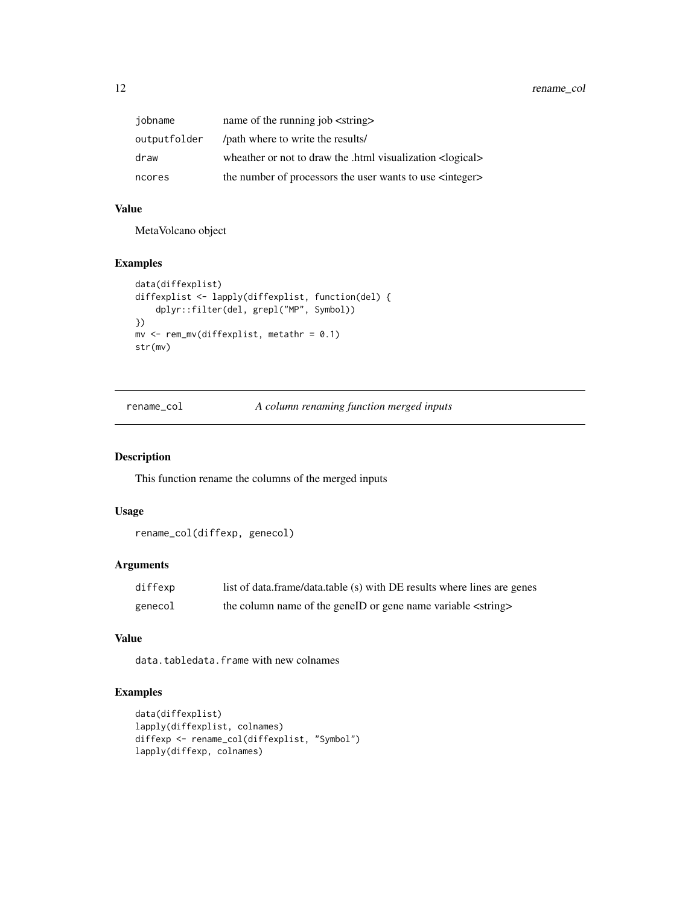<span id="page-11-0"></span>

| jobname      | name of the running job <string></string>                           |
|--------------|---------------------------------------------------------------------|
| outputfolder | /path where to write the results/                                   |
| draw         | wheather or not to draw the .html visualization <logical></logical> |
| ncores       | the number of processors the user wants to use $\langle$ integer>   |

#### Value

MetaVolcano object

#### Examples

```
data(diffexplist)
diffexplist <- lapply(diffexplist, function(del) {
   dplyr::filter(del, grepl("MP", Symbol))
})
mv \leq -rem_mv(diffexplist, metathr = 0.1)
str(mv)
```
rename\_col *A column renaming function merged inputs*

#### Description

This function rename the columns of the merged inputs

#### Usage

```
rename_col(diffexp, genecol)
```
# Arguments

| diffexp | list of data.frame/data.table (s) with DE results where lines are genes |
|---------|-------------------------------------------------------------------------|
| genecol | the column name of the geneID or gene name variable <string></string>   |

# Value

data.tabledata.frame with new colnames

```
data(diffexplist)
lapply(diffexplist, colnames)
diffexp <- rename_col(diffexplist, "Symbol")
lapply(diffexp, colnames)
```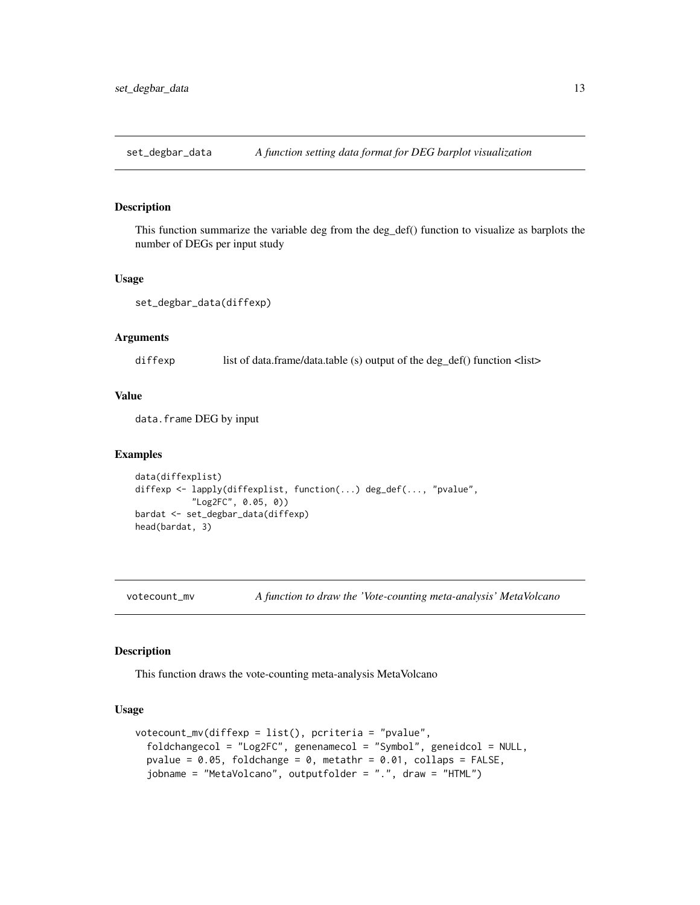<span id="page-12-0"></span>set\_degbar\_data *A function setting data format for DEG barplot visualization*

#### Description

This function summarize the variable deg from the deg\_def() function to visualize as barplots the number of DEGs per input study

#### Usage

set\_degbar\_data(diffexp)

#### Arguments

diffexp list of data.frame/data.table (s) output of the deg\_def() function <list>

#### Value

data.frame DEG by input

#### Examples

```
data(diffexplist)
diffexp <- lapply(diffexplist, function(...) deg_def(..., "pvalue",
           "Log2FC", 0.05, 0))
bardat <- set_degbar_data(diffexp)
head(bardat, 3)
```
votecount\_mv *A function to draw the 'Vote-counting meta-analysis' MetaVolcano*

#### Description

This function draws the vote-counting meta-analysis MetaVolcano

#### Usage

```
votecount_mv(diffexp = list(), pcriteria = "pvalue",
  foldchangecol = "Log2FC", genenamecol = "Symbol", geneidcol = NULL,
 pvalue = 0.05, foldchange = 0, metathr = 0.01, collaps = FALSE,
  jobname = "MetaVolcano", outputfolder = ".", draw = "HTML")
```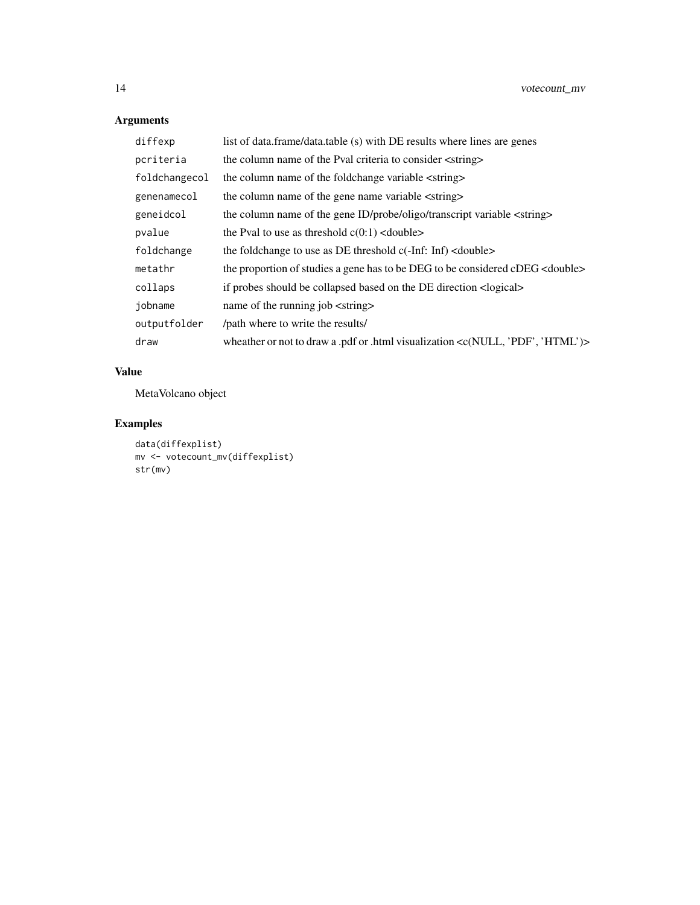# Arguments

| diffexp       | list of data.frame/data.table (s) with DE results where lines are genes                        |
|---------------|------------------------------------------------------------------------------------------------|
| pcriteria     | the column name of the Pval criteria to consider <string></string>                             |
| foldchangecol | the column name of the foldchange variable <string></string>                                   |
| genenamecol   | the column name of the gene name variable <string></string>                                    |
| geneidcol     | the column name of the gene ID/probe/oligo/transcript variable <string></string>               |
| pvalue        | the Pval to use as threshold $c(0:1)$ < double                                                 |
| foldchange    | the foldchange to use as DE threshold $c(-Inf: Inf) <$ double>                                 |
| metathr       | the proportion of studies a gene has to be DEG to be considered cDEG <double></double>         |
| collaps       | if probes should be collapsed based on the DE direction <logical></logical>                    |
| jobname       | name of the running job <string></string>                                                      |
| outputfolder  | /path where to write the results/                                                              |
| draw          | wheather or not to draw a .pdf or .html visualization <c(null, 'html')="" 'pdf',=""></c(null,> |

# Value

MetaVolcano object

```
data(diffexplist)
mv <- votecount_mv(diffexplist)
str(mv)
```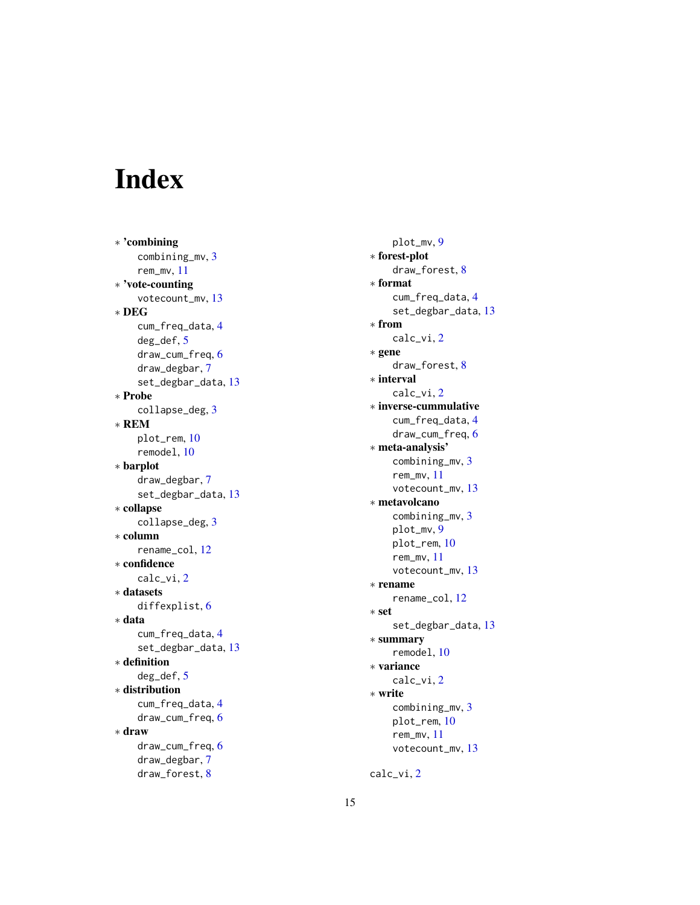# <span id="page-14-0"></span>Index

∗ 'combining combining\_mv , [3](#page-2-0) rem\_mv , [11](#page-10-0) ∗ 'vote-counting votecount\_mv , [13](#page-12-0) ∗ DEG cum\_freq\_data , [4](#page-3-0) deg\_def , [5](#page-4-0) draw\_cum\_freq , [6](#page-5-0) draw\_degbar , [7](#page-6-0) set\_degbar\_data , [13](#page-12-0) ∗ Probe collapse\_deg , [3](#page-2-0) ∗ REM plot\_rem , [10](#page-9-0) remodel , [10](#page-9-0) ∗ barplot draw\_degbar , [7](#page-6-0) set\_degbar\_data , [13](#page-12-0) ∗ collapse collapse\_deg , [3](#page-2-0) ∗ column rename\_col , [12](#page-11-0) ∗ confidence calc\_vi , [2](#page-1-0) ∗ datasets diffexplist, [6](#page-5-0) ∗ data cum\_freq\_data , [4](#page-3-0) set\_degbar\_data , [13](#page-12-0) ∗ definition deg\_def , [5](#page-4-0) ∗ distribution cum\_freq\_data , [4](#page-3-0) draw\_cum\_freq , [6](#page-5-0) ∗ draw draw\_cum\_freq , [6](#page-5-0) draw\_degbar , [7](#page-6-0) draw\_forest , [8](#page-7-0)

plot\_mv , [9](#page-8-0) ∗ forest-plot draw\_forest, <mark>[8](#page-7-0)</mark> ∗ format cum\_freq\_data , [4](#page-3-0) set\_degbar\_data , [13](#page-12-0) ∗ from calc\_vi , [2](#page-1-0) ∗ gene draw\_forest, [8](#page-7-0) ∗ interval calc\_vi , [2](#page-1-0) ∗ inverse-cummulative cum\_freq\_data , [4](#page-3-0) draw\_cum\_freq , [6](#page-5-0) ∗ meta-analysis' combining\_mv , [3](#page-2-0) rem\_mv , [11](#page-10-0) votecount\_mv , [13](#page-12-0) ∗ metavolcano combining\_mv , [3](#page-2-0) plot\_mv , [9](#page-8-0) plot\_rem , [10](#page-9-0) rem\_mv , [11](#page-10-0) votecount\_mv , [13](#page-12-0) ∗ rename rename\_col , [12](#page-11-0) ∗ set set\_degbar\_data , [13](#page-12-0) ∗ summary remodel , [10](#page-9-0) ∗ variance calc\_vi , [2](#page-1-0) ∗ write combining\_mv , [3](#page-2-0) plot\_rem , [10](#page-9-0) rem\_mv , [11](#page-10-0) votecount\_mv , [13](#page-12-0)

calc\_vi , [2](#page-1-0)